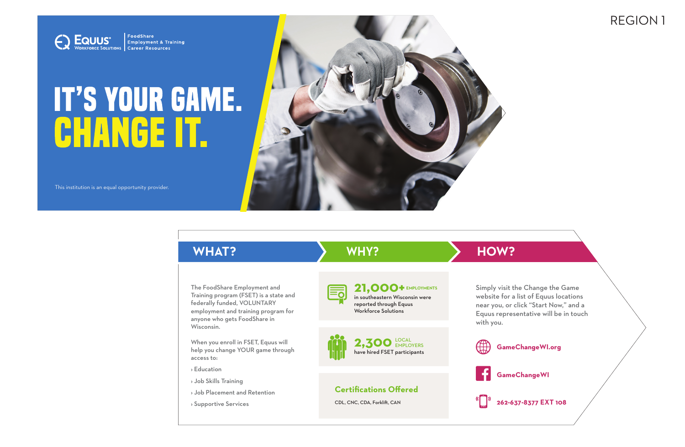REGION 1



## **IT'S YOUR GAME. CHANGE IT.**

This institution is an equal opportunity provider.